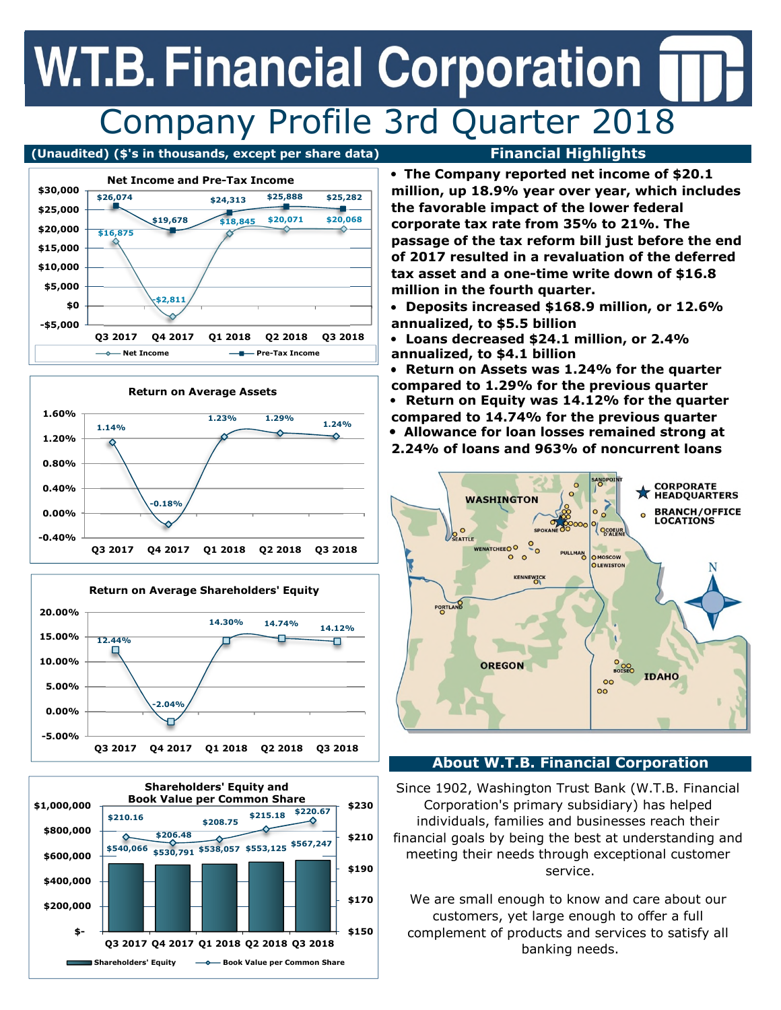## **W.T.B. Financial Corporation** Company Profile 3rd Quarter 2018

### **(Unaudited) (\$'s in thousands, except per share data) Financial Highlights**









**The Company reported net income of \$20.1 million, up 18.9% year over year, which includes the favorable impact of the lower federal corporate tax rate from 35% to 21%. The passage of the tax reform bill just before the end of 2017 resulted in a revaluation of the deferred tax asset and a one-time write down of \$16.8 million in the fourth quarter.** 

**Deposits increased \$168.9 million, or 12.6% annualized, to \$5.5 billion**

**Loans decreased \$24.1 million, or 2.4%**  $\bullet$ **annualized, to \$4.1 billion** 

**Return on Assets was 1.24% for the quarter compared to 1.29% for the previous quarter Return on Equity was 14.12% for the quarter**  $\bullet$ **compared to 14.74% for the previous quarter Allowance for loan losses remained strong at 2.24% of loans and 963% of noncurrent loans**



### **About W.T.B. Financial Corporation**

Since 1902, Washington Trust Bank (W.T.B. Financial Corporation's primary subsidiary) has helped individuals, families and businesses reach their financial goals by being the best at understanding and meeting their needs through exceptional customer service.

We are small enough to know and care about our customers, yet large enough to offer a full complement of products and services to satisfy all banking needs.